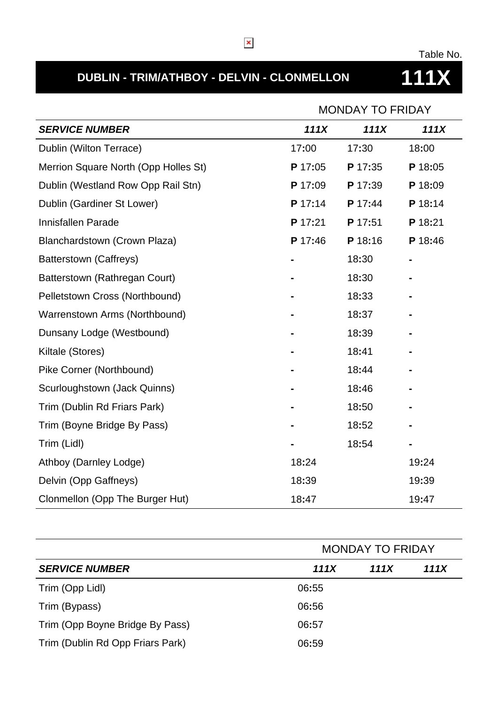# **DUBLIN - TRIM/ATHBOY - DELVIN - CLONMELLON 111X**

Table No.

|                                      | <b>MONDAY TO FRIDAY</b> |         |         |  |
|--------------------------------------|-------------------------|---------|---------|--|
| <b>SERVICE NUMBER</b>                | 111X                    | 111X    | 111X    |  |
| Dublin (Wilton Terrace)              | 17:00                   | 17:30   | 18:00   |  |
| Merrion Square North (Opp Holles St) | P 17:05                 | P 17:35 | P 18:05 |  |
| Dublin (Westland Row Opp Rail Stn)   | P 17:09                 | P 17:39 | P 18:09 |  |
| Dublin (Gardiner St Lower)           | P 17:14                 | P 17:44 | P 18:14 |  |
| Innisfallen Parade                   | P 17:21                 | P 17:51 | P 18:21 |  |
| Blanchardstown (Crown Plaza)         | P 17:46                 | P 18:16 | P 18:46 |  |
| Batterstown (Caffreys)               |                         | 18:30   |         |  |
| Batterstown (Rathregan Court)        |                         | 18:30   |         |  |
| Pelletstown Cross (Northbound)       |                         | 18:33   |         |  |
| Warrenstown Arms (Northbound)        |                         | 18:37   |         |  |
| Dunsany Lodge (Westbound)            |                         | 18:39   |         |  |
| Kiltale (Stores)                     |                         | 18:41   |         |  |
| Pike Corner (Northbound)             |                         | 18:44   |         |  |
| Scurloughstown (Jack Quinns)         |                         | 18:46   |         |  |
| Trim (Dublin Rd Friars Park)         |                         | 18:50   |         |  |
| Trim (Boyne Bridge By Pass)          |                         | 18:52   |         |  |
| Trim (Lidl)                          |                         | 18:54   |         |  |
| Athboy (Darnley Lodge)               | 18:24                   |         | 19:24   |  |
| Delvin (Opp Gaffneys)                | 18:39                   |         | 19:39   |  |
| Clonmellon (Opp The Burger Hut)      | 18:47                   |         | 19:47   |  |

|                                  |       | <b>MONDAY TO FRIDAY</b> |      |  |
|----------------------------------|-------|-------------------------|------|--|
| <b>SERVICE NUMBER</b>            | 111X  | 111X                    | 111X |  |
| Trim (Opp Lidl)                  | 06:55 |                         |      |  |
| Trim (Bypass)                    | 06:56 |                         |      |  |
| Trim (Opp Boyne Bridge By Pass)  | 06:57 |                         |      |  |
| Trim (Dublin Rd Opp Friars Park) | 06:59 |                         |      |  |